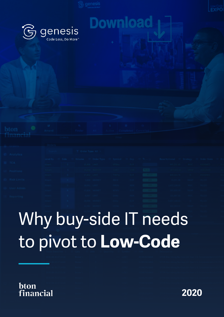Dowl

genesis Code Less, Do More"

 $\mathbf{\widehat{G}}$ 

| oton i      | <b>SEC</b><br>Amend. |         | <b>THE REAL PROPERTY AND INCOME.</b><br><b>Committee Committee</b> | <b>CONTRACTOR</b>   |                           |                             |                   | <b>Cancel Completed Cancelled</b>                                                                 |                               |                              |
|-------------|----------------------|---------|--------------------------------------------------------------------|---------------------|---------------------------|-----------------------------|-------------------|---------------------------------------------------------------------------------------------------|-------------------------------|------------------------------|
| dnancial    |                      |         |                                                                    |                     |                           |                             |                   |                                                                                                   |                               |                              |
|             |                      | Coders. |                                                                    |                     |                           | <b>California</b>           |                   |                                                                                                   |                               |                              |
|             |                      |         |                                                                    |                     |                           |                             |                   |                                                                                                   |                               |                              |
| Analytics   |                      |         | Order Type: All                                                    |                     |                           |                             |                   |                                                                                                   |                               |                              |
|             |                      |         |                                                                    |                     |                           |                             |                   | mod By = Side = Volume = Order Type = Symbol = Ccy = N = = Base Notional = Strategy = Order State |                               |                              |
| TCA.        | <b>United</b>        |         |                                                                    |                     |                           | The mean like the winds and |                   | was an and the state of assistant                                                                 |                               |                              |
| Positions:  | dilim L              |         |                                                                    | <b>TEXTO MAPPET</b> | <b>CONTROL</b>            | <b>SHOP</b> IS              | <b>CONTRACTOR</b> |                                                                                                   |                               | ○山内信念 川川 ○ 山地 明治 ○ ○ 大学 行ってし |
|             | dilant to            |         |                                                                    |                     | <b>CALL LEAT CONTRACT</b> |                             |                   |                                                                                                   | <b>THE CHAPTER OF CHAPTER</b> |                              |
| Risk Limits | <b>COMMERCIAL</b>    |         |                                                                    |                     |                           |                             | <b>COMPANY</b>    |                                                                                                   |                               |                              |
|             | <b>TERRIT</b>        |         | <b>CONTRACTOR</b>                                                  |                     |                           |                             |                   |                                                                                                   |                               |                              |
| User Admin  |                      |         |                                                                    |                     |                           |                             |                   |                                                                                                   |                               |                              |
| Reporting   |                      |         |                                                                    |                     |                           |                             |                   |                                                                                                   |                               |                              |

# Why buy-side IT needs to pivot to **Low-Code**

### bton financial

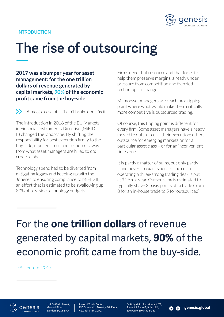

#### INTRODUCTION

## **The rise of outsourcing**

**2017 was a bumper year for asset management: for the one trillion dollars of revenue generated by capital markets, 90% of the economic profit came from the buy-side.**

Almost a case of: if it ain't broke don't fix it.

The introduction in 2018 of the EU Markets in Financial Instruments Directive (MiFID II) changed the landscape. By shifting the responsibility for best execution firmly to the buy-side, it pulled focus and resources away from what asset managers are hired to do: create alpha.

Technology spend had to be diverted from mitigating legacy and keeping up with the Joneses to ensuring compliance to MiFID II, an effort that is estimated to be swallowing up 80% of buy-side technology budgets.

Firms need that resource and that focus to help them preserve margins, already under pressure from competition and frenzied technological change.

Many asset managers are reaching a tipping point where what would make them critically more competitive is outsourced trading.

Of course, this tipping point is different for every firm. Some asset managers have already moved to outsource all their execution; others outsource for emerging markets or for a particular asset class – or for an inconvenient time zone.

It is partly a matter of sums, but only partly – and never an exact science. The cost of operating a three-strong trading desk is put at \$1.5m a year. Outsourcing is estimated to typically shave 3 basis points off a trade (from 8 for an in-house trade to 5 for outsourced).

For the **one trillion dollars** of revenue generated by capital markets, **90%** of the economic profit came from the buy-side.

-Accenture, 2017

aenesis



7 World Trade Center, 250 Greenwich Street, 46th Floor, New York, NY 10007

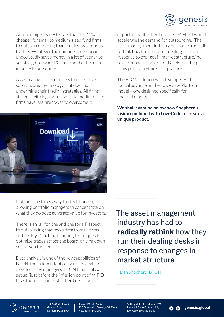

Another expert view tells us that it is 40% cheaper for small to medium-sized fund firms to outsource trading than employ two in-house traders. Whatever the numbers, outsourcing undoubtedly saves money in a lot of scenarios, yet straightforward ROI may not be the main impulse to outsource.

Asset managers need access to innovative, sophisticated technology that does not undermine their trading strategies. All firms struggle with legacy, but small to medium-sized firms have less firepower to overcome it.



Outsourcing takes away the tech burden, allowing portfolio managers to concentrate on what they do best: generate value for investors.

There is an "all for one and one for all" aspect to outsourcing that pools data from all firms and deploys Machine Learning techniques to optimize trades across the board, driving down costs even further.

Data analysis is one of the key capabilities of BTON, the independent outsourced dealing desk for asset managers. BTON Financial was set up "just before the inflexion point of MiFID II" as founder Daniel Shepherd describes the

opportunity. Shepherd realized MiFID II would accelerate the demand for outsourcing. "The asset management industry has had to radically rethink how they run their dealing desks in response to changes in market structure," he says. Shepherd's vision for BTON is to help firms put that rethink into practice.

The BTON solution was developed with a radical advance on the Low-Code Platform model – one designed specifically for financial markets.

**We shall examine below how Shepherd's vision combined with Low-Code to create a unique product.**

The asset management industry has had to **radically rethink** how they run their dealing desks in response to changes in market structure.

- Dan Shepherd, BTON



1-3 Dufferin Street, Ground Floor, London, EC1Y 8NA

7 World Trade Center, 250 Greenwich Street, 46th Floor, New York, NY 10007

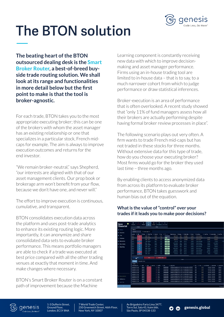

## **The BTON solution**

**The beating heart of the BTON outsourced dealing desk is the Smart Broker Router, a best-of-breed buyside trade routing solution. We shall look at its range and functionalities in more detail below but the first point to make is that the tool is broker-agnostic.** 

For each trade, BTON takes you to the most appropriate executing broker; this can be one of the brokers with whom the asset manager has an existing relationship or one that specializes in a particular stock, French midcaps for example. The aim is always to improve execution outcomes and returns for the end investor.

"We remain broker-neutral," says Shepherd, "our interests are aligned with that of our asset management clients. Our prop book or brokerage arm won't benefit from your flow, because we don't have one, and never will."

The effort to improve execution is continuous, cumulative, and transparent.

BTON consolidates execution data across the platform and uses post-trade analytics to enhance its existing routing logic. More importantly, it can anonymize and share consolidated data sets to evaluate broker performance. This means portfolio managers are able to check if a trade was executed at best price compared with all the other trading venues at exactly that moment in time. And make changes where necessary.

BTON's Smart Broker Router is on a constant path of improvement because the Machine

Learning component is constantly receiving new data with which to improve decisionmaking and asset manager performance. Firms using an in-house trading tool are limited to in-house data – that is to say, to a much narrower cohort from which to judge performance or draw statistical inferences.

Broker-execution is an area of performance that is often overlooked. A recent study showed that "only 11% of fund managers assess how all their brokers are actually performing despite having formal broker review processes in place".

The following scenario plays out very often. A firm wants to trade French mid-caps but has not traded in these stocks for three months. Without extensive data for this type of trade. how do you choose your executing broker? Most firms would go for the broker they used last time – three months ago.

By enabling clients to access anonymized data from across its platform to evaluate broker performance, BTON takes guesswork and human bias out of the equation.

#### **What is the value of "control" over your trades if it leads you to make poor decisions?**

| bton                  | œ<br>Amend          |                  | a<br>Einder       | ≋<br>AIL            | ٠<br>Active        | ×                       | ø<br>Completed Cancelled |                                                                 |              |                 |                  |                         |                                                           |                           |                 |
|-----------------------|---------------------|------------------|-------------------|---------------------|--------------------|-------------------------|--------------------------|-----------------------------------------------------------------|--------------|-----------------|------------------|-------------------------|-----------------------------------------------------------|---------------------------|-----------------|
| financial             |                     | <b>Crders</b>    |                   |                     |                    | Fitter                  |                          |                                                                 |              |                 |                  |                         |                                                           |                           |                 |
| <b>B</b> Orders       | <b>Orders</b>       |                  |                   |                     |                    |                         |                          |                                                                 |              |                 |                  |                         |                                                           |                           |                 |
| <b>C</b> Analytics    | Semith              |                  |                   | T Order Type: All - |                    |                         |                          |                                                                 |              |                 |                  |                         |                                                           |                           |                 |
| <b>EL TCA</b>         | mred By             | $= 5k0$          | <sup>Notame</sup> | = Order Type        | $=$ Symbol         | $=$ Ky                  | $= 100$                  | <b>Bese Notional</b>                                            | Strategy     | El Order State  | $=$ Broker       | <b>SVCNAme</b>          | = Avg Price = Consideration = Last Price                  |                           |                 |
|                       | <b>UJust</b>        | ٠                |                   | 15,508 (1987)       | <b>UFEBG</b>       | <b>CUR</b>              |                          | 695.332.83                                                      | <b>MCC</b>   | ASSIGNED        | <b>Bridger 1</b> | <b>Broker Dew NOC</b>   |                                                           | 799,542.76                |                 |
| <b>Lit</b> Positions  | <b>Hilam1</b>       | ×                |                   | TEACH MARKET        | 11/070             | tria-                   | 2332                     | 457,922.15                                                      | <b>VALLE</b> | <b>ASSIGNED</b> | <b>Broker II</b> | <b>Busines Day WAAP</b> | 14,7000                                                   | 352, 110.00               |                 |
|                       | <b>BJons</b>        | s                |                   | <b>17,852 LIMIT</b> | THERE              | <b>Cult</b>             | 11592.17                 | 161,334.76                                                      | 16           | ASSIGNED        | Broker 1         | <b>Broken Dee IS</b>    | \$6,0000                                                  | 973,392.00                |                 |
| <b>69 Risk Limits</b> | <b>H2set2</b>       | ٠                |                   | 1.003 MARKET        | 1000.6             | 129                     | $-100$                   | 12021.30                                                        | <b>VAIN!</b> | miro            | <b>Shown</b> 1   | fireign@ele William     | 121120                                                    | 17,332.00                 |                 |
| (S) User Admin        | mserz               | ۰                |                   | 18.041 LBBT         | PMCPO.             | new.                    | $-10$                    | 3.407.138.00                                                    | MEC.         | FILLED          | <b>Broker 1</b>  | Broker Ove NOC          | 79.2000                                                   | 1,407,588.00              |                 |
|                       | H2ser1              | ٠                |                   | 17,806 IANUAT1      | <b>WTRH</b>        | T.m                     | $-10$                    | 231858.20                                                       | <b>VANAP</b> | <b>FILLED</b>   | <b>Busker 1</b>  | <b>Brokes One WIAP</b>  | 18.3330                                                   | 336, 241.53               |                 |
| $E$ Reporting         | uners               | ٠                |                   | <b>RBF7 LB6Y</b>    | <b>EAM6</b>        | NOK                     | $-100$                   | 106.067.50                                                      | sec.         | <b>FILLED</b>   | <b>Issuer 1</b>  | BrokerOee NOC           | 12,5000                                                   | 111,937.50                |                 |
|                       | <b>ISUSAND</b>      | ٠                |                   | <b>JADRA MARKET</b> | curp               | \$39                    | $-101$                   | 1,057,148.63                                                    | W.           | <b>RLLED</b>    | <b>Broker 1</b>  | <b>Rickay Dee Il</b>    | 184,0830                                                  | 13157430                  |                 |
|                       | U2ser2              | ٠                |                   | ELDOG HAVEN'T       | USTm               | 北市                      | $-100$                   | 16231213                                                        | <b>WANP</b>  | miro            | Delen 1          | Drokes One VALAR        | 30,0000                                                   | 411.750.72                |                 |
|                       | <b>BJser2</b>       |                  |                   | 25,752 LBBT         | 1007394            | <b>SFE</b>              | $-111$                   | 3,333,512.00                                                    | <b>MIDC</b>  | <b>PILLED</b>   | <b>Robert</b>    | <b>Broker One MOC</b>   | 288,7000                                                  | 1,333,511.00              |                 |
|                       |                     |                  |                   |                     |                    |                         |                          |                                                                 |              |                 |                  |                         |                                                           |                           |                 |
|                       | <b>Tractes</b>      | <b>Johnson</b>   | Execution Chart   | SELL                |                    | SHORT SELL              |                          |                                                                 |              | -----           |                  |                         |                                                           |                           |                 |
|                       | Trades ~            | Trade Datetime 4 | EL COLV           | $=$ Side            | <b>EL Quantity</b> | $=$ Symbol              | $\equiv$ 1994            | E Description                                                   |              |                 |                  | $=$ $c_{0}$             | $\equiv$ Price $\equiv$ Consideration $\equiv$ Entered By |                           | El Exec Broke   |
|                       | 2020106-2017:04:15  |                  | <b>Basker 1</b>   | ٠                   |                    | <b><i>ARR LARGE</i></b> | 160082003860             | SPDR Blookbase Bardays 10+Year U.S. Corporate Bond UCITS ETF    |              |                 |                  | 180                     | 34.76                                                     | 15.155.36 Similator       | Broker 1        |
|                       | 2220-06-2017:14:00  |                  | <b>Disker 1</b>   | ÷.                  |                    | $141 - 1050$            | IEDOBZOGANIO             | SPDR Stoomberg Berclays 30+ Year U.S. Corporate Dond USITS ETF  |              |                 |                  | <b>CO</b>               | 34.76                                                     | <b>LOSTLING</b> Simulator | <b>Board</b>    |
|                       | 202008-20170403     |                  | <b>Besker 1</b>   | ×                   |                    | $m1$ (USC)              | <b>IEDOBZZOGSB6D</b>     | SPOR Stoo moose Bandays 20+ Year U.S. Corporate Bond UCITS ETP  |              |                 |                  | <b>USD</b>              | 34.76                                                     | 12317.01 Simulator        | <b>Broker S</b> |
|                       | 3530-08-20 ET13:58  |                  | <b>Broker 1</b>   | ×                   |                    | TOP HUSCH               | IE00070GBMD              | 5000 Gloomberg Barclays 35+ Year U.S. Corporate Band UCITS ETF  |              |                 |                  | <b>USD</b>              | 34.74                                                     | 13.174.04 Smulator        | <b>Broker 1</b> |
|                       | 2020-00-201713:53   |                  | <b>Besker 1</b>   | ж                   |                    | 000 100501              | IEDBBJYCGBBCD            | SPOR Stop where Bentleys 33+ Year U.S. Corporate Band UCITS ETF |              |                 |                  | <b>USD</b>              | 34.76                                                     | 33,544.44 Simulator       | <b>Broker 1</b> |
| C Service Modity      | 3220-08-20 17:15:48 |                  | <b>Broker 1</b>   | з                   |                    | SEE LUSCE               | <b>EDDB2008860</b>       | SPDR Bloomberg Barclays 30+Year U.S. Corporate Bond UCITS ETF   |              |                 |                  | <b>USD</b>              | 34.76                                                     | 31.353.52 Simulator       | Broker 1        |
|                       | 3220406-201712342   |                  | <b>Driver 1</b>   | ×                   |                    | 13.4021                 | <b>ICOGRATOGRADO</b>     | SPOR Stoomberg Rentays 33+ Year U.S. Corporate Dand UCITS ETF   |              |                 |                  | 122                     | 54.00                                                     | 33442.75 Simulator        | <b>Beam!</b>    |
| <b>A</b> Nebfications | 202008-201712-28    |                  | <b>Besker 1</b>   | ٠                   |                    | $= 1050$                | <b>IEDDBZOGSBSD</b>      | SPDR Sloombarg Bardays 30+ Year U.S. Corporate Bond UCITS ETF   |              |                 |                  | <b>USD</b>              | 34.76                                                     | 22.246.43 Simulator       | Broker 1        |
| 3. Usert-Teet         | 2020/08/20 17:13:33 |                  | <b>Restor 1</b>   |                     |                    | TIL HIGH                | <b>ICOBBJOCANIO</b>      | SPOR Stoomberg Raztleys 33+ War U.S. Corporate Road UCITS \$17  |              |                 |                  | USD <sub>1</sub>        | 34.74                                                     | <b>MAGL28 Simulator</b>   | <b>Broker 1</b> |
| $\bullet$             |                     |                  |                   |                     |                    |                         |                          |                                                                 |              |                 |                  |                         |                                                           |                           | Power           |

**D in** genesis.global



aenesis

1-3 Dufferin Street, Ground Floor, London, EC1Y 8NA

7 World Trade Center, 250 Greenwich Street, 46th Floor, New York, NY 10007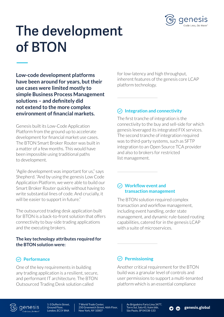

### **The development of BTON**

**Low-code development platforms have been around for years, but their use cases were limited mostly to simple Business Process Management solutions – and definitely did not extend to the more complex environment of financial markets.** 

Genesis built its Low-Code Application Platform from the ground up to accelerate development for financial market use cases. The BTON Smart Broker Router was built in a matter of a few months. This would have been impossible using traditional paths to development.

"Agile development was important for us," says Shepherd. "And by using the genesis Low Code Application Platform, we were able to build our Smart Broker Router quickly without having to write substantial lines of code. And crucially, it will be easier to support in future."

The outsourced trading desk application built for BTON is a back-to-front solution that offers connectivity to buy-side trading applications and the executing brokers.

#### **The key technology attributes required for the BTON solution were:**

#### **Performance**

aenesis

One of the key requirements in building any trading application is a resilient, secure, and performant IT architecture. The BTON Outsourced Trading Desk solution called

for low-latency and high throughput, inherent features of the genesis core LCAP platform technology.

#### **Integration and connectivity**

The first tranche of integration is the connectivity to the buy and sell-side for which genesis leveraged its integrated FIX services. The second tranche of integration required was to third-party systems, such as SFTP integration to an Open Source TCA provider and also to brokers for restricted list management.

#### **Workflow event and transaction management**

The BTON solution required complex transaction and workflow management, including event handling, order state management, and dynamic rule-based routing capabilities, catered for in the genesis LCAP with a suite of microservices.

#### **Permissioning**

Another critical requirement for the BTON build was a granular level of controls and user permissions to support a multi-tenanted platform which is an essential compliance



1-3 Dufferin Street, Ground Floor, London, EC1Y 8NA

7 World Trade Center, 250 Greenwich Street, 46th Floor, New York, NY 10007

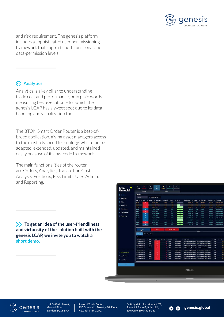

and risk requirement. The genesis platform includes a sophisticated user per-missioning framework that supports both functional and data-permission levels.

#### **Analytics**

Analytics is a key pillar to understanding trade cost and performance, or in plain words measuring best execution – for which the genesis LCAP has a sweet spot due to its data handling and visualization tools.

The BTON Smart Order Router is a best-ofbreed application, giving asset managers access to the most advanced technology, which can be adapted, extended, updated, and maintained easily because of its low-code framework.

The main functionalities of the router are Orders, Analytics, Transaction Cost Analysis, Positions, Risk Limits, User Admin, and Reporting.

**To get an idea of the user-friendliness and virtuosity of the solution built with the genesis LCAP, we invite you to watch a [short demo](https://genesis.global/expo-asset-managers-best-execution/).** 

| <b>B</b> Orders              | Orders                                    |                                            |                                        |                      |                            |                          |                              |                                                                                                                                |                           |                      |                                    |                   |                                               |
|------------------------------|-------------------------------------------|--------------------------------------------|----------------------------------------|----------------------|----------------------------|--------------------------|------------------------------|--------------------------------------------------------------------------------------------------------------------------------|---------------------------|----------------------|------------------------------------|-------------------|-----------------------------------------------|
|                              | Search                                    |                                            | T Order Type: All -                    |                      |                            |                          |                              |                                                                                                                                |                           |                      |                                    |                   |                                               |
| <b>C</b> Analytics           |                                           |                                            |                                        |                      |                            |                          |                              |                                                                                                                                |                           |                      |                                    |                   |                                               |
| <b>画 TCA</b>                 | sered By                                  | $\equiv$ 5ide                              | $\equiv$ Volume                        | $\equiv$ Order Type: | $\equiv$ Symbol            | $\equiv$ Ccy<br>$=$      | $N =$                        | <b>Base Notional</b>                                                                                                           | $\equiv$ Stategy          | Drder State          | $\equiv$ Broker                    | <b>E</b> SycName  |                                               |
|                              | <b>Ulset1</b><br><b>Hum1</b>              | ٠<br>×                                     | <b>13502 - 1367</b><br>EILATO   MARNET |                      | <b>WEBS</b><br>11/001      | <b>EUR</b><br><b>LED</b> | <b>EXS1</b>                  | 095.112.83<br>417,922.11                                                                                                       | Mde<br><b><i>VARE</i></b> | ASSIGNED<br>ASSIGNED | <b>Broker 1</b><br><b>Broker L</b> |                   | <b>Broker Dew HOC</b><br><b>Brown Doe WWA</b> |
| <b>Informations</b>          | <b>Dans</b>                               | ٠                                          | 17,853 1,867                           |                      | THEM                       | 有序                       | $-12.17$                     | 161,334.76                                                                                                                     | H.                        | ASSIGNED             | <b>Broker 1</b>                    |                   | <b>Brokenbeets</b>                            |
| <b><i>Ch</i></b> Risk Limits | timet.                                    | ٠                                          | 1,003 MARRET                           |                      | 960.6                      | 北川                       | $-10$                        | 12,071.33                                                                                                                      | <b>VAVA!</b>              | <b>FILLED</b>        | <b>Broker 1</b>                    |                   | fireken Gre With?                             |
|                              | mserz                                     | ٠                                          | <b>SRIDAS LIMIT</b>                    |                      | 194,70                     | <b>AKOK</b>              | $\sim$ 10                    | 3.407.138.00                                                                                                                   | MUC.                      | <b>FR180</b>         | <b>Broker 1</b>                    |                   | <b>Broker Ove NICO</b>                        |
| User Admin                   | <b>Hzwrt</b>                              | ٠                                          | <b>STAGS INVESTT</b>                   |                      | WTFd                       | <b>D.R</b>               | ाह                           | 281454.29                                                                                                                      | <b>WWAPT</b>              | num                  | <b>Bisker1</b>                     |                   | <b>Broker Deal WIAP</b>                       |
| E Reporting                  | msen                                      | ٠                                          | 8,007 - 1,007                          |                      | EAMS                       | <b>ABOK</b>              | $-106$                       | 100.067.50                                                                                                                     | <b>MOC</b>                | <b>FILLED</b>        | Bioker 1                           |                   | <b>Broker Gee NOC</b>                         |
|                              | ttiveri                                   | ٠                                          | <b>JADOB MARKET</b>                    |                      | cusp                       | \$18                     | - पर                         | 3.657.148.63                                                                                                                   | $^{18}$                   | <b>RILED</b>         | <b>Broker 1</b>                    |                   | <b>Ryphan Deet&amp;</b>                       |
|                              | UJser2                                    | ٠                                          | 11301 NAVIVIT                          |                      | <b>USTM</b>                | EUT                      | $-100$                       | 161312.01                                                                                                                      | <b>VWW</b>                | <b>FILLED</b>        | Draker 1                           |                   | <b>Broker Gear WOUP</b>                       |
|                              |                                           |                                            |                                        |                      |                            |                          |                              |                                                                                                                                |                           |                      |                                    |                   | <b>Broker Dee MOC</b>                         |
|                              | <b>Black</b>                              | ٠                                          | 25793 LM1T                             |                      | <b>INTOIS</b>              | SEK                      | m                            | 3,333,512.00                                                                                                                   | MOC                       | <b>PILLED</b>        | <b>Braker 1</b>                    |                   |                                               |
|                              | <b>Illiant</b><br>Trades<br>Trades in     | Ŧ<br><b>WBUY</b><br><b>Execution Chart</b> | <b>GROSS LINET</b>                     | SELL                 | <b>GNISC</b>               | 右阵<br>SHORT SELL         |                              | 22,723.22                                                                                                                      | POV<br>- -------          | muro                 | fishing 1                          |                   |                                               |
|                              | Trade Datatime 1                          |                                            | $=$ Cpty<br>$=$ Side                   |                      | $=$ Quantity<br>$=$ Symbol | $\equiv$ 150N            |                              | <b>E</b> Description                                                                                                           |                           |                      |                                    | $=$ $ccy$         | <b>Broker Dea POV</b><br>$=$ Price            |
|                              | 2020-06-2017;14:13                        |                                            | <b>Broker 1</b>                        | ٠                    | <b>ARR LUSCE</b>           |                          | 1E0082008860                 | SPDR Bloomberg Bandays 10+ Year U.S. Corporate Bond UCITS ETF                                                                  |                           |                      |                                    | <b>USD</b>        |                                               |
|                              | 3020-08-2017:14:00                        |                                            | <b>Broker 1</b>                        | ä.                   | SHE LUSCE                  |                          | IEDOBZOCNICO                 | SPDR Stoomberg Berdays 30+ Year U.S. Corporate Dond UCITS ETF                                                                  |                           |                      |                                    | can.              |                                               |
|                              | 2020-08-2011/14:03                        |                                            | Broker 1                               | ×                    | TILL LUSCI                 |                          | IEDOBZIOGSB60                | SPDR Sloomborg Bandays 20+ Year U.S. Corporate Bond UCITS ETP                                                                  |                           |                      |                                    | <b>USD</b>        |                                               |
|                              | 3020-08-2017:13:58                        |                                            | <b>Broker 1</b>                        | ×                    | <b>TTP LUSCE</b>           |                          | <b>IFORDEGRING</b>           | SPOR Bloomberg Bardays 30+ Year U.S. Corporate Bond UCITS ETF                                                                  |                           |                      |                                    | <b>GSD</b>        |                                               |
|                              | 2020-08-2017;12:53                        |                                            | Deploy 1                               | s                    | 009-110901                 |                          | IEDGGJXXG3300                | SPOR Stoomberg Santiays 30+ Year U.S. Corporate Bond UCITS ETF                                                                 |                           |                      |                                    | cap               |                                               |
| Service Monitor              | 2020-08-20 17:15:48                       |                                            | Broker 1                               | з                    | <b>SEE LUSCI</b>           |                          | <b>IE0082008860</b>          | SRDR Bloomberg Barclays 30+ Year U.S. Corporate Bond UCITS ETF                                                                 |                           |                      |                                    | USD <sub></sub>   |                                               |
| <b>A</b> Notifications       | 3020-06-20 ST 1590L                       |                                            | Broker 1                               | s                    | <b>ETG</b> LLUSCH          |                          | IEDOM/RGMKO                  | SPDR Sloomberg Rentisys 30+ Year U.S. Corporate Dond UCITS ETF                                                                 |                           |                      |                                    | <b>USD</b>        |                                               |
|                              | 2020-06-20 17:13:38<br>2020-06-2017:13:33 |                                            | <b>Broker 1</b><br><b>Resident</b>     | ×<br>٠               | $1 - 1.0521$<br>121 11801  |                          | IECOBZOGSSED<br>IE09020GRADO | SPDR Bloomberg Bardays 30+ Year U.S. Corporate Bond UCITS ETF<br>SPDR Bloomberg Barclays 30+ War U.S. Corporate Bond UCITS ETF |                           |                      |                                    | <b>USD</b><br>USD |                                               |



aenesis

1-3 Dufferin Street, Ground Floor, London, EC1Y 8NA

7 World Trade Center, 250 Greenwich Street, 46th Floor, New York, NY 10007